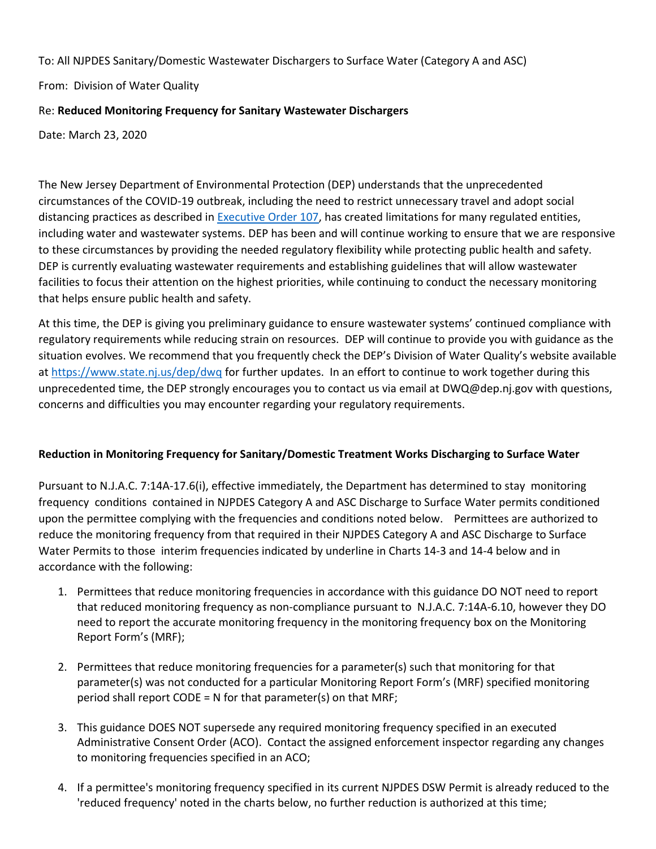To: All NJPDES Sanitary/Domestic Wastewater Dischargers to Surface Water (Category A and ASC)

From: Division of Water Quality

## Re: **Reduced Monitoring Frequency for Sanitary Wastewater Dischargers**

Date: March 23, 2020

The New Jersey Department of Environmental Protection (DEP) understands that the unprecedented circumstances of the COVID-19 outbreak, including the need to restrict unnecessary travel and adopt social distancing practices as described in [Executive Order 107,](https://nj.gov/infobank/eo/056murphy/pdf/EO-107.pdf) has created limitations for many regulated entities, including water and wastewater systems. DEP has been and will continue working to ensure that we are responsive to these circumstances by providing the needed regulatory flexibility while protecting public health and safety. DEP is currently evaluating wastewater requirements and establishing guidelines that will allow wastewater facilities to focus their attention on the highest priorities, while continuing to conduct the necessary monitoring that helps ensure public health and safety.

At this time, the DEP is giving you preliminary guidance to ensure wastewater systems' continued compliance with regulatory requirements while reducing strain on resources. DEP will continue to provide you with guidance as the situation evolves. We recommend that you frequently check the DEP's Division of Water Quality's website available at [https://www.state.nj.us/dep/dwq](https://www.state.nj.us/dep/dwqwatersupply/index.html) for further updates. In an effort to continue to work together during this unprecedented time, the DEP strongly encourages you to contact us via email at DWQ@dep.nj.gov with questions, concerns and difficulties you may encounter regarding your regulatory requirements.

# **Reduction in Monitoring Frequency for Sanitary/Domestic Treatment Works Discharging to Surface Water**

Pursuant to N.J.A.C. 7:14A-17.6(i), effective immediately, the Department has determined to stay monitoring frequency conditions contained in NJPDES Category A and ASC Discharge to Surface Water permits conditioned upon the permittee complying with the frequencies and conditions noted below. Permittees are authorized to reduce the monitoring frequency from that required in their NJPDES Category A and ASC Discharge to Surface Water Permits to those interim frequencies indicated by underline in Charts 14-3 and 14-4 below and in accordance with the following:

- 1. Permittees that reduce monitoring frequencies in accordance with this guidance DO NOT need to report that reduced monitoring frequency as non-compliance pursuant to N.J.A.C. 7:14A-6.10, however they DO need to report the accurate monitoring frequency in the monitoring frequency box on the Monitoring Report Form's (MRF);
- 2. Permittees that reduce monitoring frequencies for a parameter(s) such that monitoring for that parameter(s) was not conducted for a particular Monitoring Report Form's (MRF) specified monitoring period shall report CODE = N for that parameter(s) on that MRF;
- 3. This guidance DOES NOT supersede any required monitoring frequency specified in an executed Administrative Consent Order (ACO). Contact the assigned enforcement inspector regarding any changes to monitoring frequencies specified in an ACO;
- 4. If a permittee's monitoring frequency specified in its current NJPDES DSW Permit is already reduced to the 'reduced frequency' noted in the charts below, no further reduction is authorized at this time;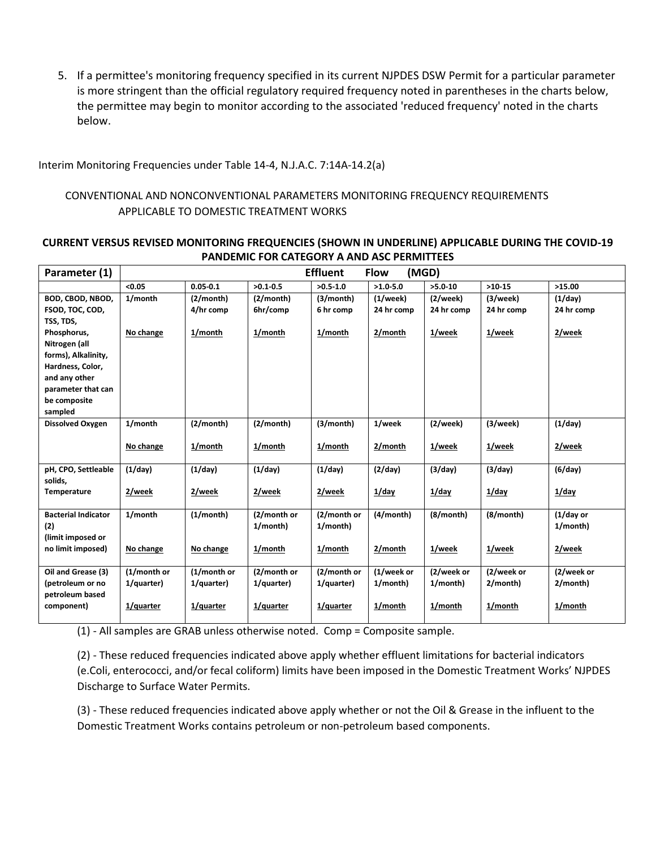5. If a permittee's monitoring frequency specified in its current NJPDES DSW Permit for a particular parameter is more stringent than the official regulatory required frequency noted in parentheses in the charts below, the permittee may begin to monitor according to the associated 'reduced frequency' noted in the charts below.

Interim Monitoring Frequencies under Table 14-4, N.J.A.C. 7:14A-14.2(a)

## CONVENTIONAL AND NONCONVENTIONAL PARAMETERS MONITORING FREQUENCY REQUIREMENTS APPLICABLE TO DOMESTIC TREATMENT WORKS

#### **CURRENT VERSUS REVISED MONITORING FREQUENCIES (SHOWN IN UNDERLINE) APPLICABLE DURING THE COVID-19 PANDEMIC FOR CATEGORY A AND ASC PERMITTEES**

| Parameter (1)                        |             |              |              | <b>Effluent</b> | <b>Flow</b>  | (MGD)      |            |              |
|--------------------------------------|-------------|--------------|--------------|-----------------|--------------|------------|------------|--------------|
|                                      | < 0.05      | $0.05 - 0.1$ | $>0.1 - 0.5$ | $>0.5 - 1.0$    | $>1.0 - 5.0$ | $>5.0-10$  | $>10-15$   | >15.00       |
| BOD, CBOD, NBOD,                     | 1/month     | (2/month)    | (2/month)    | (3/month)       | (1/week)     | (2/week)   | (3/week)   | (1/day)      |
| FSOD, TOC, COD,                      |             | 4/hr comp    | 6hr/comp     | 6 hr comp       | 24 hr comp   | 24 hr comp | 24 hr comp | 24 hr comp   |
| TSS, TDS,                            |             |              |              |                 |              |            |            |              |
| Phosphorus,                          | No change   | 1/month      | 1/month      | 1/month         | 2/month      | 1/week     | 1/week     | 2/week       |
| Nitrogen (all<br>forms), Alkalinity, |             |              |              |                 |              |            |            |              |
| Hardness, Color,                     |             |              |              |                 |              |            |            |              |
| and any other                        |             |              |              |                 |              |            |            |              |
| parameter that can                   |             |              |              |                 |              |            |            |              |
| be composite                         |             |              |              |                 |              |            |            |              |
| sampled                              |             |              |              |                 |              |            |            |              |
| Dissolved Oxygen                     | 1/month     | (2/month)    | (2/month)    | (3/month)       | 1/week       | (2/week)   | (3/week)   | (1/day)      |
|                                      |             | 1/month      |              | 1/month         | 2/month      |            | 1/week     |              |
|                                      | No change   |              | 1/month      |                 |              | 1/week     |            | 2/week       |
| pH, CPO, Settleable                  | (1/day)     | (1/day)      | (1/day)      | (1/day)         | (2/day)      | (3/day)    | (3/day)    | (6/day)      |
| solids,                              |             |              |              |                 |              |            |            |              |
| Temperature                          | 2/week      | 2/week       | 2/week       | 2/week          | $1$ /day     | $1$ /day   | $1$ /day   | $1$ /day     |
|                                      |             |              |              |                 |              |            |            |              |
| <b>Bacterial Indicator</b>           | 1/month     | (1/month)    | (2/month or  | (2/month or     | (4/month)    | (8/month)  | (8/month)  | $(1/day)$ or |
| (2)<br>(limit imposed or             |             |              | 1/month)     | 1/month)        |              |            |            | 1/month)     |
| no limit imposed)                    | No change   | No change    | 1/month      | 1/month         | 2/month      | 1/week     | 1/week     | 2/week       |
|                                      |             |              |              |                 |              |            |            |              |
| Oil and Grease (3)                   | (1/month or | (1/month or  | (2/month or  | (2/month or     | (1/week or   | (2/week or | (2/week or | (2/week or   |
| (petroleum or no                     | 1/quarter)  | 1/quarter)   | 1/quarter)   | 1/quarter)      | 1/month)     | 1/month)   | 2/month)   | 2/month)     |
| petroleum based                      |             |              |              |                 |              |            |            |              |
| component)                           | 1/quarter   | 1/quarter    | 1/quarter    | 1/quarter       | 1/month      | 1/month    | 1/month    | 1/month      |
|                                      |             |              |              |                 |              |            |            |              |

(1) - All samples are GRAB unless otherwise noted. Comp = Composite sample.

(2) - These reduced frequencies indicated above apply whether effluent limitations for bacterial indicators (e.Coli, enterococci, and/or fecal coliform) limits have been imposed in the Domestic Treatment Works' NJPDES Discharge to Surface Water Permits.

(3) - These reduced frequencies indicated above apply whether or not the Oil & Grease in the influent to the Domestic Treatment Works contains petroleum or non-petroleum based components.